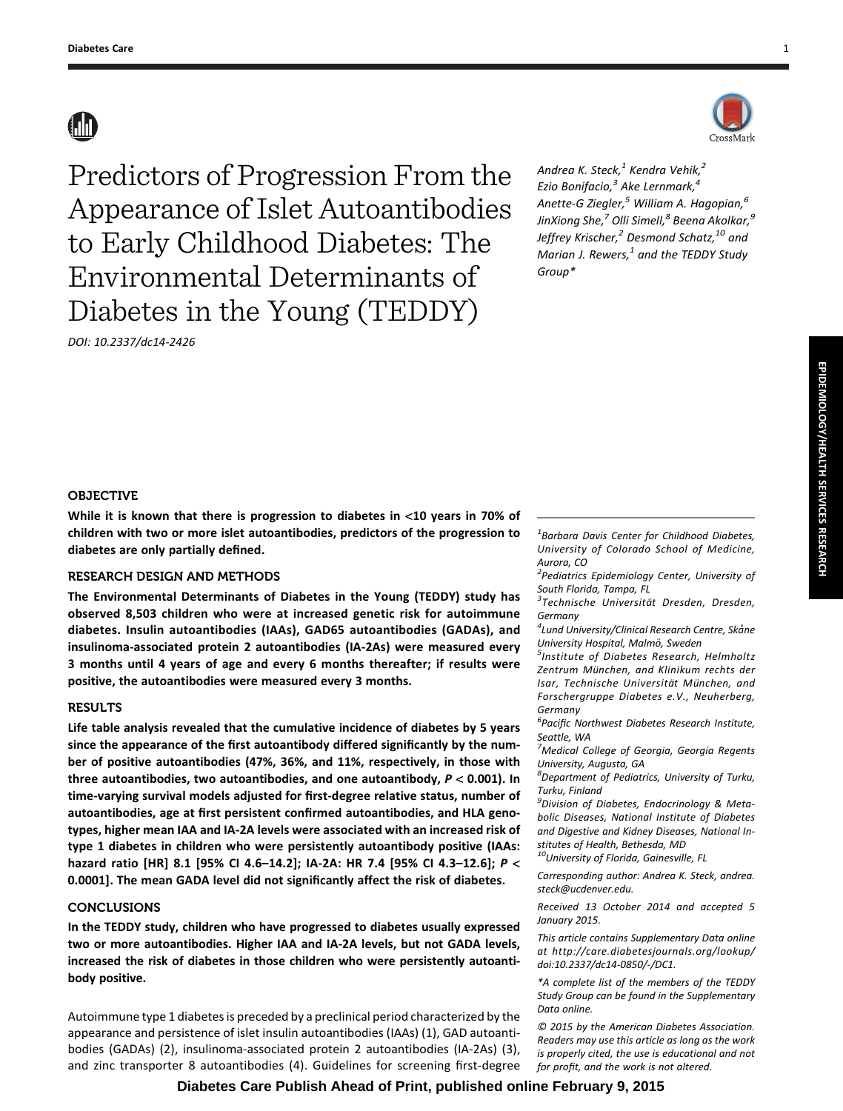# **AD**



DOI: 10.2337/dc14-2426

Andrea K. Steck, $1$  Kendra Vehik, $2$ Ezio Bonifacio, $3$  Ake Lernmark, $4$ Anette-G Ziegler, $^5$  William A. Hagopian, $^6$ JinXiong She, $^7$  Olli Simell, $^8$  Beena Akolkar, $^9$ Jeffrey Krischer,<sup>2</sup> Desmond Schatz,<sup>10</sup> and Marian J. Rewers, $<sup>1</sup>$  and the TEDDY Study</sup> Group\*

## OBJECTIVE

While it is known that there is progression to diabetes in <10 years in 70% of children with two or more islet autoantibodies, predictors of the progression to diabetes are only partially defined.

# RESEARCH DESIGN AND METHODS

The Environmental Determinants of Diabetes in the Young (TEDDY) study has observed 8,503 children who were at increased genetic risk for autoimmune diabetes. Insulin autoantibodies (IAAs), GAD65 autoantibodies (GADAs), and insulinoma-associated protein 2 autoantibodies (IA-2As) were measured every 3 months until 4 years of age and every 6 months thereafter; if results were positive, the autoantibodies were measured every 3 months.

# RESULTS

Life table analysis revealed that the cumulative incidence of diabetes by 5 years since the appearance of the first autoantibody differed significantly by the number of positive autoantibodies (47%, 36%, and 11%, respectively, in those with three autoantibodies, two autoantibodies, and one autoantibody,  $P < 0.001$ ). In time-varying survival models adjusted for first-degree relative status, number of autoantibodies, age at first persistent confirmed autoantibodies, and HLA genotypes, higher mean IAA and IA-2A levels were associated with an increased risk of type 1 diabetes in children who were persistently autoantibody positive (IAAs: hazard ratio [HR] 8.1 [95% CI 4.6–14.2]; IA-2A: HR 7.4 [95% CI 4.3–12.6]; P < 0.0001]. The mean GADA level did not significantly affect the risk of diabetes.

# CONCLUSIONS

In the TEDDY study, children who have progressed to diabetes usually expressed two or more autoantibodies. Higher IAA and IA-2A levels, but not GADA levels, increased the risk of diabetes in those children who were persistently autoantibody positive.

Autoimmune type 1 diabetes is preceded by a preclinical period characterized by the appearance and persistence of islet insulin autoantibodies (IAAs) (1), GAD autoantibodies (GADAs) (2), insulinoma-associated protein 2 autoantibodies (IA-2As) (3), and zinc transporter 8 autoantibodies (4). Guidelines for screening first-degree

 $1$ Barbara Davis Center for Childhood Diabetes, University of Colorado School of Medicine, Aurora, CO

<sup>2</sup> Pediatrics Epidemiology Center, University of South Florida, Tampa, FL

<sup>3</sup>Technische Universität Dresden, Dresden, Germany

<sup>4</sup> Lund University/Clinical Research Centre, Skåne University Hospital, Malmö, Sweden

 $<sup>5</sup>$ Institute of Diabetes Research, Helmholtz</sup> Zentrum München, and Klinikum rechts der Isar, Technische Universität München, and Forschergruppe Diabetes e.V., Neuherberg, Germany

6 Pacific Northwest Diabetes Research Institute, Seattle, WA

<sup>7</sup>Medical College of Georgia, Georgia Regents University, Augusta, GA

8 Department of Pediatrics, University of Turku, Turku, Finland

<sup>9</sup>Division of Diabetes, Endocrinology & Metabolic Diseases, National Institute of Diabetes and Digestive and Kidney Diseases, National Institutes of Health, Bethesda, MD

<sup>10</sup>University of Florida, Gainesville, FL

Corresponding author: Andrea K. Steck, [andrea.](mailto:andrea.steck@ucdenver.edu) [steck@ucdenver.edu.](mailto:andrea.steck@ucdenver.edu)

Received 13 October 2014 and accepted 5 January 2015.

This article contains Supplementary Data online at [http://care.diabetesjournals.org/lookup/](http://care.diabetesjournals.org/lookup/doi:10.2337/dc14-0850/-/DC1.) [doi:10.2337/dc14-0850/-/DC1.](http://care.diabetesjournals.org/lookup/doi:10.2337/dc14-0850/-/DC1.)

\*A complete list of the members of the TEDDY Study Group can be found in the Supplementary Data online.

© 2015 by the American Diabetes Association. Readers may use this article as long as the work is properly cited, the use is educational and not for profit, and the work is not altered.

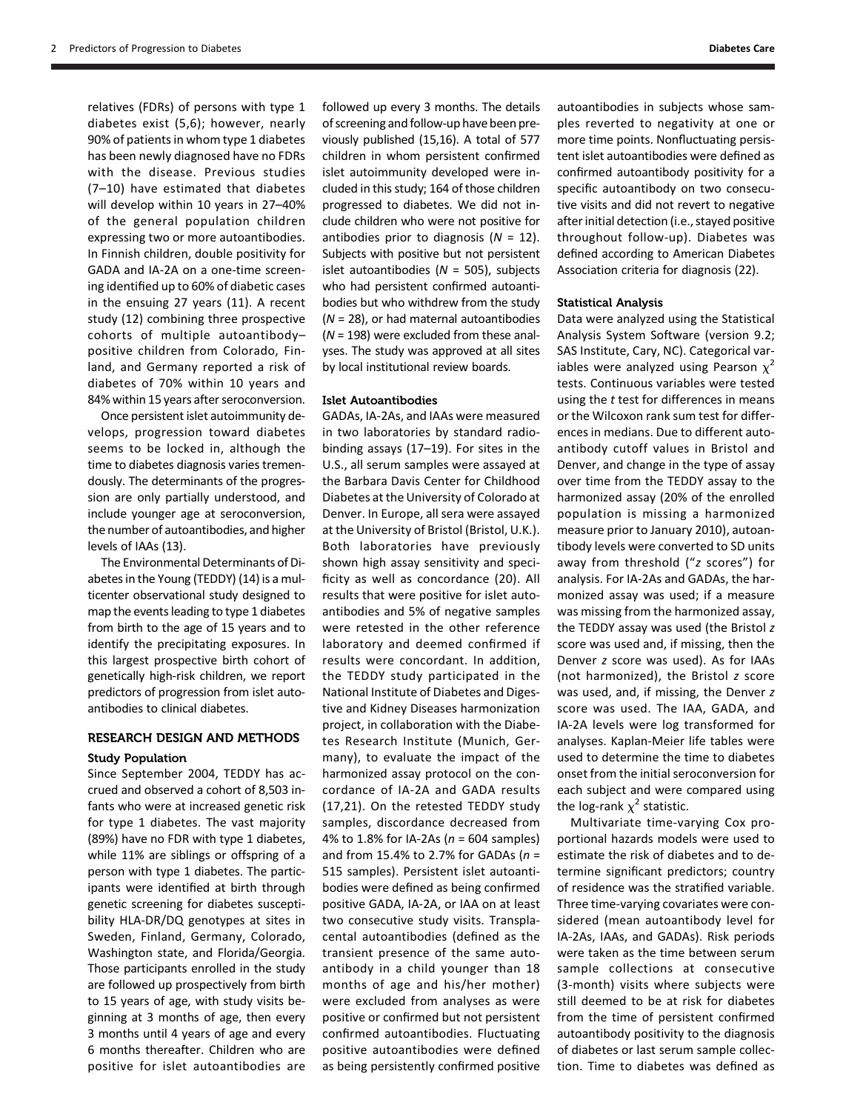relatives (FDRs) of persons with type 1 diabetes exist (5,6); however, nearly 90% of patients in whom type 1 diabetes has been newly diagnosed have no FDRs with the disease. Previous studies (7–10) have estimated that diabetes will develop within 10 years in 27–40% of the general population children expressing two or more autoantibodies. In Finnish children, double positivity for GADA and IA-2A on a one-time screening identified up to 60% of diabetic cases in the ensuing 27 years (11). A recent study (12) combining three prospective cohorts of multiple autoantibody– positive children from Colorado, Finland, and Germany reported a risk of diabetes of 70% within 10 years and 84% within 15 years after seroconversion.

Once persistent islet autoimmunity develops, progression toward diabetes seems to be locked in, although the time to diabetes diagnosis varies tremendously. The determinants of the progression are only partially understood, and include younger age at seroconversion, the number of autoantibodies, and higher levels of IAAs (13).

The Environmental Determinants of Diabetes in the Young (TEDDY) (14) is a multicenter observational study designed to map the events leading to type 1 diabetes from birth to the age of 15 years and to identify the precipitating exposures. In this largest prospective birth cohort of genetically high-risk children, we report predictors of progression from islet autoantibodies to clinical diabetes.

# RESEARCH DESIGN AND METHODS

### Study Population

Since September 2004, TEDDY has accrued and observed a cohort of 8,503 infants who were at increased genetic risk for type 1 diabetes. The vast majority (89%) have no FDR with type 1 diabetes, while 11% are siblings or offspring of a person with type 1 diabetes. The participants were identified at birth through genetic screening for diabetes susceptibility HLA-DR/DQ genotypes at sites in Sweden, Finland, Germany, Colorado, Washington state, and Florida/Georgia. Those participants enrolled in the study are followed up prospectively from birth to 15 years of age, with study visits beginning at 3 months of age, then every 3 months until 4 years of age and every 6 months thereafter. Children who are positive for islet autoantibodies are

followed up every 3 months. The details of screening and follow-up have been previously published (15,16). A total of 577 children in whom persistent confirmed islet autoimmunity developed were included in this study; 164 of those children progressed to diabetes. We did not include children who were not positive for antibodies prior to diagnosis  $(N = 12)$ . Subjects with positive but not persistent islet autoantibodies ( $N = 505$ ), subjects who had persistent confirmed autoantibodies but who withdrew from the study  $(N = 28)$ , or had maternal autoantibodies  $(N = 198)$  were excluded from these analyses. The study was approved at all sites by local institutional review boards.

# Islet Autoantibodies

GADAs, IA-2As, and IAAs were measured in two laboratories by standard radiobinding assays (17–19). For sites in the U.S., all serum samples were assayed at the Barbara Davis Center for Childhood Diabetes at the University of Colorado at Denver. In Europe, all sera were assayed at the University of Bristol (Bristol, U.K.). Both laboratories have previously shown high assay sensitivity and specificity as well as concordance (20). All results that were positive for islet autoantibodies and 5% of negative samples were retested in the other reference laboratory and deemed confirmed if results were concordant. In addition, the TEDDY study participated in the National Institute of Diabetes and Digestive and Kidney Diseases harmonization project, in collaboration with the Diabetes Research Institute (Munich, Germany), to evaluate the impact of the harmonized assay protocol on the concordance of IA-2A and GADA results (17,21). On the retested TEDDY study samples, discordance decreased from 4% to 1.8% for IA-2As ( $n = 604$  samples) and from 15.4% to 2.7% for GADAs ( $n =$ 515 samples). Persistent islet autoantibodies were defined as being confirmed positive GADA, IA-2A, or IAA on at least two consecutive study visits. Transplacental autoantibodies (defined as the transient presence of the same autoantibody in a child younger than 18 months of age and his/her mother) were excluded from analyses as were positive or confirmed but not persistent confirmed autoantibodies. Fluctuating positive autoantibodies were defined as being persistently confirmed positive autoantibodies in subjects whose samples reverted to negativity at one or more time points. Nonfluctuating persistent islet autoantibodies were defined as confirmed autoantibody positivity for a specific autoantibody on two consecutive visits and did not revert to negative after initial detection (i.e., stayed positive throughout follow-up). Diabetes was defined according to American Diabetes Association criteria for diagnosis (22).

#### Statistical Analysis

Data were analyzed using the Statistical Analysis System Software (version 9.2; SAS Institute, Cary, NC). Categorical variables were analyzed using Pearson  $x^2$ tests. Continuous variables were tested using the  $t$  test for differences in means or the Wilcoxon rank sum test for differences in medians. Due to different autoantibody cutoff values in Bristol and Denver, and change in the type of assay over time from the TEDDY assay to the harmonized assay (20% of the enrolled population is missing a harmonized measure prior to January 2010), autoantibody levels were converted to SD units away from threshold ("z scores") for analysis. For IA-2As and GADAs, the harmonized assay was used; if a measure was missing from the harmonized assay, the TEDDY assay was used (the Bristol z score was used and, if missing, then the Denver z score was used). As for IAAs (not harmonized), the Bristol z score was used, and, if missing, the Denver z score was used. The IAA, GADA, and IA-2A levels were log transformed for analyses. Kaplan-Meier life tables were used to determine the time to diabetes onset from the initial seroconversion for each subject and were compared using the log-rank  $\chi^2$  statistic.

Multivariate time-varying Cox proportional hazards models were used to estimate the risk of diabetes and to determine significant predictors; country of residence was the stratified variable. Three time-varying covariates were considered (mean autoantibody level for IA-2As, IAAs, and GADAs). Risk periods were taken as the time between serum sample collections at consecutive (3-month) visits where subjects were still deemed to be at risk for diabetes from the time of persistent confirmed autoantibody positivity to the diagnosis of diabetes or last serum sample collection. Time to diabetes was defined as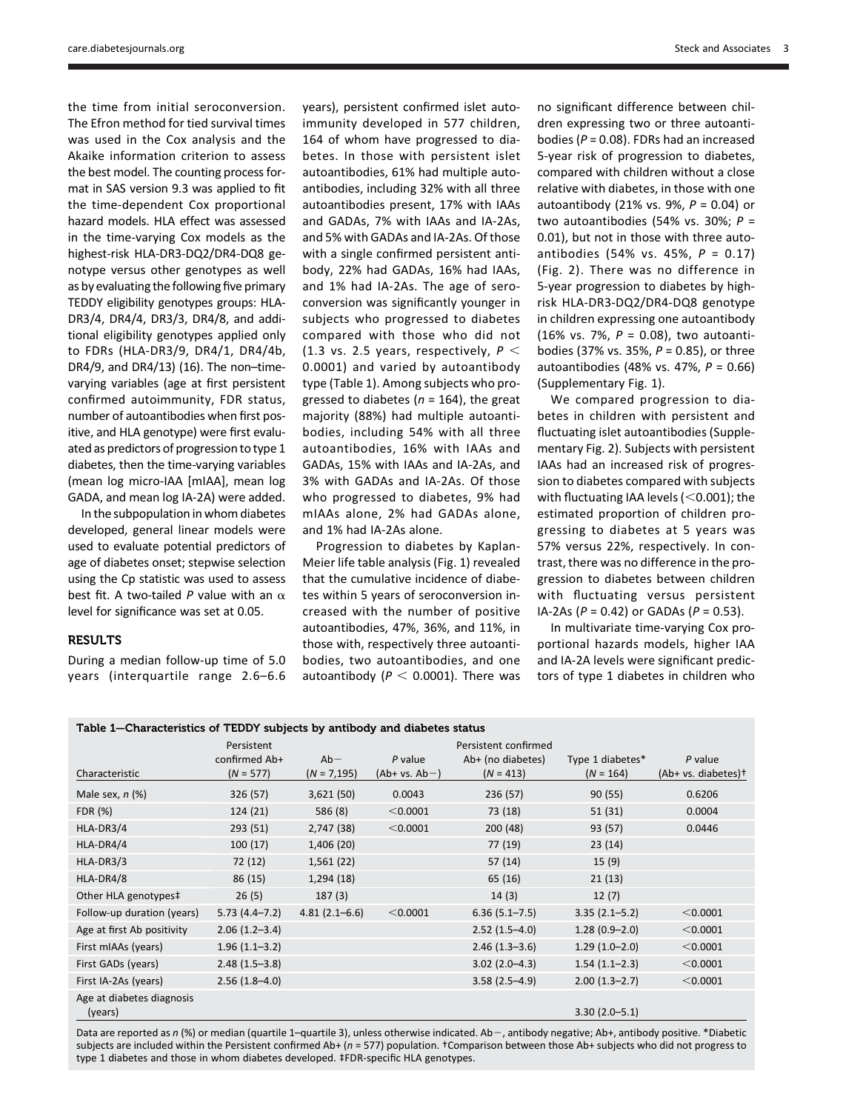the time from initial seroconversion. The Efron method for tied survival times was used in the Cox analysis and the Akaike information criterion to assess the best model. The counting process format in SAS version 9.3 was applied to fit the time-dependent Cox proportional hazard models. HLA effect was assessed in the time-varying Cox models as the highest-risk HLA-DR3-DQ2/DR4-DQ8 genotype versus other genotypes as well as by evaluating the following five primary TEDDY eligibility genotypes groups: HLA-DR3/4, DR4/4, DR3/3, DR4/8, and additional eligibility genotypes applied only to FDRs (HLA-DR3/9, DR4/1, DR4/4b, DR4/9, and DR4/13) (16). The non–timevarying variables (age at first persistent confirmed autoimmunity, FDR status, number of autoantibodies when first positive, and HLA genotype) were first evaluated as predictors of progression to type 1 diabetes, then the time-varying variables (mean log micro-IAA [mIAA], mean log GADA, and mean log IA-2A) were added.

In the subpopulation in whom diabetes developed, general linear models were used to evaluate potential predictors of age of diabetes onset; stepwise selection using the Cp statistic was used to assess best fit. A two-tailed P value with an  $\alpha$ level for significance was set at 0.05.

# RESULTS

During a median follow-up time of 5.0 years (interquartile range 2.6–6.6

years), persistent confirmed islet autoimmunity developed in 577 children, 164 of whom have progressed to diabetes. In those with persistent islet autoantibodies, 61% had multiple autoantibodies, including 32% with all three autoantibodies present, 17% with IAAs and GADAs, 7% with IAAs and IA-2As, and 5% with GADAs and IA-2As. Of those with a single confirmed persistent antibody, 22% had GADAs, 16% had IAAs, and 1% had IA-2As. The age of seroconversion was significantly younger in subjects who progressed to diabetes compared with those who did not (1.3 vs. 2.5 years, respectively,  $P <$ 0.0001) and varied by autoantibody type (Table 1). Among subjects who progressed to diabetes ( $n = 164$ ), the great majority (88%) had multiple autoantibodies, including 54% with all three autoantibodies, 16% with IAAs and GADAs, 15% with IAAs and IA-2As, and 3% with GADAs and IA-2As. Of those who progressed to diabetes, 9% had mIAAs alone, 2% had GADAs alone, and 1% had IA-2As alone.

Progression to diabetes by Kaplan-Meier life table analysis (Fig. 1) revealed that the cumulative incidence of diabetes within 5 years of seroconversion increased with the number of positive autoantibodies, 47%, 36%, and 11%, in those with, respectively three autoantibodies, two autoantibodies, and one autoantibody ( $P < 0.0001$ ). There was

[care.diabetesjournals.org](http://care.diabetesjournals.org) Steck and Associates 3

no significant difference between children expressing two or three autoantibodies ( $P = 0.08$ ). FDRs had an increased 5-year risk of progression to diabetes, compared with children without a close relative with diabetes, in those with one autoantibody (21% vs. 9%,  $P = 0.04$ ) or two autoantibodies (54% vs. 30%;  $P =$ 0.01), but not in those with three autoantibodies (54% vs. 45%,  $P = 0.17$ ) (Fig. 2). There was no difference in 5-year progression to diabetes by highrisk HLA-DR3-DQ2/DR4-DQ8 genotype in children expressing one autoantibody (16% vs. 7%,  $P = 0.08$ ), two autoantibodies (37% vs. 35%,  $P = 0.85$ ), or three autoantibodies (48% vs. 47%,  $P = 0.66$ ) [\(Supplementary Fig. 1\)](http://care.diabetesjournals.org/lookup/suppl/doi:10.2337/dc14-2426/-/DC1).

We compared progression to diabetes in children with persistent and fluctuating islet autoantibodies ([Supple](http://care.diabetesjournals.org/lookup/suppl/doi:10.2337/dc14-2426/-/DC1)[mentary Fig. 2](http://care.diabetesjournals.org/lookup/suppl/doi:10.2337/dc14-2426/-/DC1)). Subjects with persistent IAAs had an increased risk of progression to diabetes compared with subjects with fluctuating IAA levels ( $<$ 0.001); the estimated proportion of children progressing to diabetes at 5 years was 57% versus 22%, respectively. In contrast, there was no difference in the progression to diabetes between children with fluctuating versus persistent IA-2As ( $P = 0.42$ ) or GADAs ( $P = 0.53$ ).

In multivariate time-varying Cox proportional hazards models, higher IAA and IA-2A levels were significant predictors of type 1 diabetes in children who

| Table 1–Characteristics of TEDDY subjects by antibody and diabetes status |  |  |
|---------------------------------------------------------------------------|--|--|
|---------------------------------------------------------------------------|--|--|

| Characteristic                       | Persistent<br>confirmed Ab+<br>$(N = 577)$ | $Ab -$<br>$(N = 7, 195)$ | $P$ value<br>$(Ab+vs. Ab-)$ | Persistent confirmed<br>Ab+ (no diabetes)<br>$(N = 413)$ | Type 1 diabetes*<br>$(N = 164)$ | $P$ value<br>(Ab+ vs. diabetes)+ |
|--------------------------------------|--------------------------------------------|--------------------------|-----------------------------|----------------------------------------------------------|---------------------------------|----------------------------------|
| Male sex, $n$ (%)                    | 326 (57)                                   | 3,621(50)                | 0.0043                      | 236 (57)                                                 | 90(55)                          | 0.6206                           |
| FDR (%)                              | 124(21)                                    | 586 (8)                  | < 0.0001                    | 73 (18)                                                  | 51(31)                          | 0.0004                           |
| HLA-DR3/4                            | 293 (51)                                   | 2,747 (38)               | < 0.0001                    | 200(48)                                                  | 93 (57)                         | 0.0446                           |
| HLA-DR4/4                            | 100(17)                                    | 1,406 (20)               |                             | 77 (19)                                                  | 23(14)                          |                                  |
| HLA-DR3/3                            | 72 (12)                                    | 1,561(22)                |                             | 57(14)                                                   | 15(9)                           |                                  |
| HLA-DR4/8                            | 86 (15)                                    | 1,294(18)                |                             | 65 (16)                                                  | 21(13)                          |                                  |
| Other HLA genotypes‡                 | 26(5)                                      | 187(3)                   |                             | 14(3)                                                    | 12(7)                           |                                  |
| Follow-up duration (years)           | $5.73(4.4 - 7.2)$                          | $4.81(2.1 - 6.6)$        | < 0.0001                    | $6.36(5.1 - 7.5)$                                        | $3.35(2.1 - 5.2)$               | < 0.0001                         |
| Age at first Ab positivity           | $2.06(1.2-3.4)$                            |                          |                             | $2.52(1.5-4.0)$                                          | $1.28(0.9-2.0)$                 | < 0.0001                         |
| First mIAAs (years)                  | $1.96(1.1-3.2)$                            |                          |                             | $2.46(1.3-3.6)$                                          | $1.29(1.0-2.0)$                 | < 0.0001                         |
| First GADs (years)                   | $2.48(1.5-3.8)$                            |                          |                             | $3.02(2.0-4.3)$                                          | $1.54(1.1-2.3)$                 | < 0.0001                         |
| First IA-2As (years)                 | $2.56(1.8-4.0)$                            |                          |                             | $3.58(2.5 - 4.9)$                                        | $2.00(1.3-2.7)$                 | < 0.0001                         |
| Age at diabetes diagnosis<br>(years) |                                            |                          |                             |                                                          | $3.30(2.0 - 5.1)$               |                                  |

Data are reported as n (%) or median (quartile 1-quartile 3), unless otherwise indicated. Ab-, antibody negative; Ab+, antibody positive. \*Diabetic subjects are included within the Persistent confirmed Ab+ ( $n = 577$ ) population. †Comparison between those Ab+ subjects who did not progress to type 1 diabetes and those in whom diabetes developed. ‡FDR-specific HLA genotypes.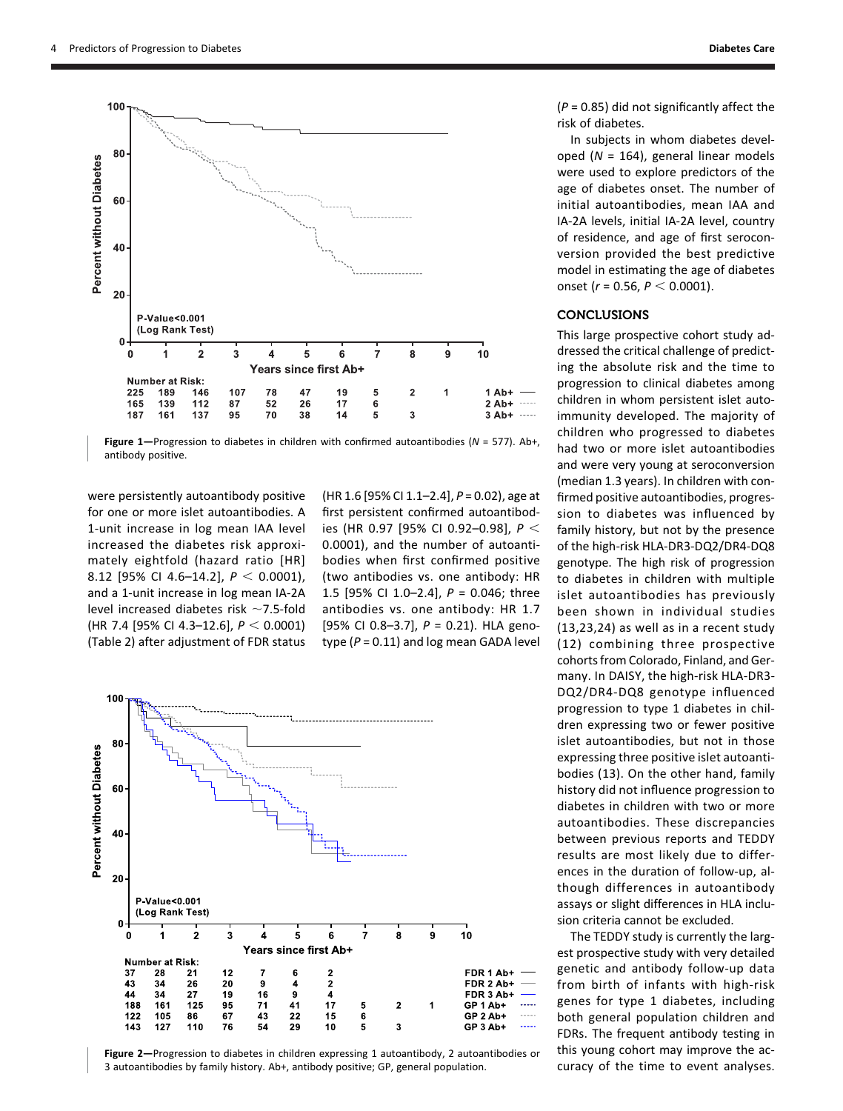

Figure 1-Progression to diabetes in children with confirmed autoantibodies ( $N = 577$ ). Ab+, antibody positive.

were persistently autoantibody positive for one or more islet autoantibodies. A 1-unit increase in log mean IAA level increased the diabetes risk approximately eightfold (hazard ratio [HR] 8.12 [95% CI 4.6-14.2],  $P < 0.0001$ ), and a 1-unit increase in log mean IA-2A level increased diabetes risk  $\sim$ 7.5-fold (HR 7.4 [95% CI 4.3-12.6],  $P < 0.0001$ ) (Table 2) after adjustment of FDR status

 $(HR 1.6$  [95% CI 1.1–2.4],  $P = 0.02$ ), age at first persistent confirmed autoantibodies (HR 0.97 [95% CI 0.92-0.98],  $P <$ 0.0001), and the number of autoantibodies when first confirmed positive (two antibodies vs. one antibody: HR 1.5 [95% CI 1.0–2.4], P = 0.046; three antibodies vs. one antibody: HR 1.7 [95% CI 0.8-3.7],  $P = 0.21$ ). HLA genotype ( $P = 0.11$ ) and log mean GADA level



Figure 2—Progression to diabetes in children expressing 1 autoantibody, 2 autoantibodies or 3 autoantibodies by family history. Ab+, antibody positive; GP, general population.

 $(P = 0.85)$  did not significantly affect the risk of diabetes.

In subjects in whom diabetes developed ( $N = 164$ ), general linear models were used to explore predictors of the age of diabetes onset. The number of initial autoantibodies, mean IAA and IA-2A levels, initial IA-2A level, country of residence, and age of first seroconversion provided the best predictive model in estimating the age of diabetes onset ( $r = 0.56$ ,  $P < 0.0001$ ).

# CONCLUSIONS

This large prospective cohort study addressed the critical challenge of predicting the absolute risk and the time to progression to clinical diabetes among children in whom persistent islet autoimmunity developed. The majority of children who progressed to diabetes had two or more islet autoantibodies and were very young at seroconversion (median 1.3 years). In children with confirmed positive autoantibodies, progression to diabetes was influenced by family history, but not by the presence of the high-risk HLA-DR3-DQ2/DR4-DQ8 genotype. The high risk of progression to diabetes in children with multiple islet autoantibodies has previously been shown in individual studies (13,23,24) as well as in a recent study (12) combining three prospective cohorts from Colorado, Finland, and Germany. In DAISY, the high-risk HLA-DR3- DQ2/DR4-DQ8 genotype influenced progression to type 1 diabetes in children expressing two or fewer positive islet autoantibodies, but not in those expressing three positive islet autoantibodies (13). On the other hand, family history did not influence progression to diabetes in children with two or more autoantibodies. These discrepancies between previous reports and TEDDY results are most likely due to differences in the duration of follow-up, although differences in autoantibody assays or slight differences in HLA inclusion criteria cannot be excluded.

The TEDDY study is currently the largest prospective study with very detailed genetic and antibody follow-up data from birth of infants with high-risk genes for type 1 diabetes, including both general population children and FDRs. The frequent antibody testing in this young cohort may improve the accuracy of the time to event analyses.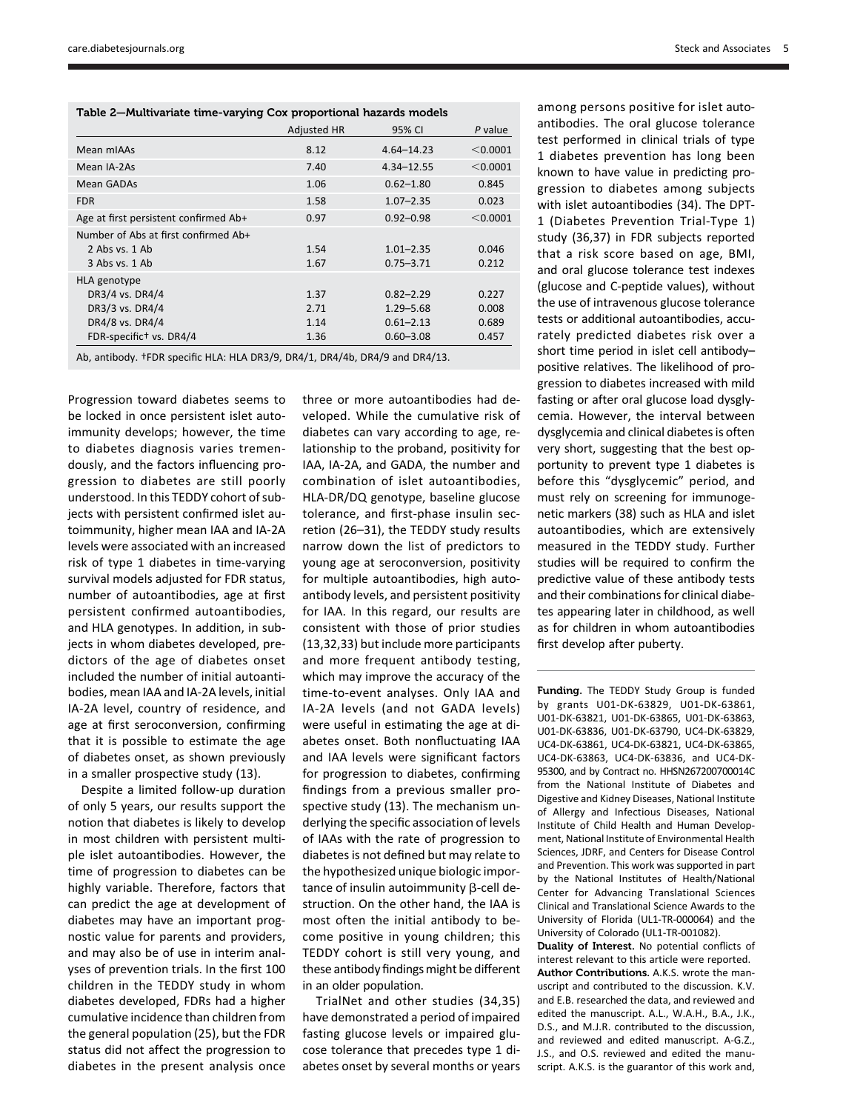| <b>Steck and Associates</b> |  |
|-----------------------------|--|
|-----------------------------|--|

| Table 2-Multivariate time-varying Cox proportional hazards models |  |
|-------------------------------------------------------------------|--|
|-------------------------------------------------------------------|--|

|                                       | <b>Adjusted HR</b> | 95% CI         | $P$ value |
|---------------------------------------|--------------------|----------------|-----------|
| Mean mIAAs                            | 8.12               | $4.64 - 14.23$ | < 0.0001  |
| Mean IA-2As                           | 7.40               | $4.34 - 12.55$ | < 0.0001  |
| Mean GADAs                            | 1.06               | $0.62 - 1.80$  | 0.845     |
| <b>FDR</b>                            | 1.58               | $1.07 - 2.35$  | 0.023     |
| Age at first persistent confirmed Ab+ | 0.97               | $0.92 - 0.98$  | < 0.0001  |
| Number of Abs at first confirmed Ab+  |                    |                |           |
| 2 Abs vs. 1 Ab                        | 1.54               | $1.01 - 2.35$  | 0.046     |
| 3 Abs vs. 1 Ab                        | 1.67               | $0.75 - 3.71$  | 0.212     |
| HLA genotype                          |                    |                |           |
| DR3/4 vs. DR4/4                       | 1.37               | $0.82 - 2.29$  | 0.227     |
| DR3/3 vs. DR4/4                       | 2.71               | $1.29 - 5.68$  | 0.008     |
| DR4/8 vs. DR4/4                       | 1.14               | $0.61 - 2.13$  | 0.689     |
| FDR-specific <sup>+</sup> vs. DR4/4   | 1.36               | $0.60 - 3.08$  | 0.457     |

Ab, antibody. †FDR specific HLA: HLA DR3/9, DR4/1, DR4/4b, DR4/9 and DR4/13.

Progression toward diabetes seems to be locked in once persistent islet autoimmunity develops; however, the time to diabetes diagnosis varies tremendously, and the factors influencing progression to diabetes are still poorly understood. In this TEDDY cohort of subjects with persistent confirmed islet autoimmunity, higher mean IAA and IA-2A levels were associated with an increased risk of type 1 diabetes in time-varying survival models adjusted for FDR status, number of autoantibodies, age at first persistent confirmed autoantibodies, and HLA genotypes. In addition, in subjects in whom diabetes developed, predictors of the age of diabetes onset included the number of initial autoantibodies, mean IAA and IA-2A levels, initial IA-2A level, country of residence, and age at first seroconversion, confirming that it is possible to estimate the age of diabetes onset, as shown previously in a smaller prospective study (13).

Despite a limited follow-up duration of only 5 years, our results support the notion that diabetes is likely to develop in most children with persistent multiple islet autoantibodies. However, the time of progression to diabetes can be highly variable. Therefore, factors that can predict the age at development of diabetes may have an important prognostic value for parents and providers, and may also be of use in interim analyses of prevention trials. In the first 100 children in the TEDDY study in whom diabetes developed, FDRs had a higher cumulative incidence than children from the general population (25), but the FDR status did not affect the progression to diabetes in the present analysis once

three or more autoantibodies had developed. While the cumulative risk of diabetes can vary according to age, relationship to the proband, positivity for IAA, IA-2A, and GADA, the number and combination of islet autoantibodies, HLA-DR/DQ genotype, baseline glucose tolerance, and first-phase insulin secretion (26–31), the TEDDY study results narrow down the list of predictors to young age at seroconversion, positivity for multiple autoantibodies, high autoantibody levels, and persistent positivity for IAA. In this regard, our results are consistent with those of prior studies (13,32,33) but include more participants and more frequent antibody testing, which may improve the accuracy of the time-to-event analyses. Only IAA and IA-2A levels (and not GADA levels) were useful in estimating the age at diabetes onset. Both nonfluctuating IAA and IAA levels were significant factors for progression to diabetes, confirming findings from a previous smaller prospective study (13). The mechanism underlying the specific association of levels of IAAs with the rate of progression to diabetes is not defined but may relate to the hypothesized unique biologic importance of insulin autoimmunity  $\beta$ -cell destruction. On the other hand, the IAA is most often the initial antibody to become positive in young children; this TEDDY cohort is still very young, and these antibody findings might be different in an older population.

TrialNet and other studies (34,35) have demonstrated a period of impaired fasting glucose levels or impaired glucose tolerance that precedes type 1 diabetes onset by several months or years among persons positive for islet autoantibodies. The oral glucose tolerance test performed in clinical trials of type 1 diabetes prevention has long been known to have value in predicting progression to diabetes among subjects with islet autoantibodies (34). The DPT-1 (Diabetes Prevention Trial-Type 1) study (36,37) in FDR subjects reported that a risk score based on age, BMI, and oral glucose tolerance test indexes (glucose and C-peptide values), without the use of intravenous glucose tolerance tests or additional autoantibodies, accurately predicted diabetes risk over a short time period in islet cell antibody– positive relatives. The likelihood of progression to diabetes increased with mild fasting or after oral glucose load dysglycemia. However, the interval between dysglycemia and clinical diabetes is often very short, suggesting that the best opportunity to prevent type 1 diabetes is before this "dysglycemic" period, and must rely on screening for immunogenetic markers (38) such as HLA and islet autoantibodies, which are extensively measured in the TEDDY study. Further studies will be required to confirm the predictive value of these antibody tests and their combinations for clinical diabetes appearing later in childhood, as well as for children in whom autoantibodies first develop after puberty.

Funding. The TEDDY Study Group is funded by grants U01-DK-63829, U01-DK-63861, U01-DK-63821, U01-DK-63865, U01-DK-63863, U01-DK-63836, U01-DK-63790, UC4-DK-63829, UC4-DK-63861, UC4-DK-63821, UC4-DK-63865, UC4-DK-63863, UC4-DK-63836, and UC4-DK-95300, and by Contract no. HHSN267200700014C from the National Institute of Diabetes and Digestive and Kidney Diseases, National Institute of Allergy and Infectious Diseases, National Institute of Child Health and Human Development, National Institute of Environmental Health Sciences, JDRF, and Centers for Disease Control and Prevention. This work was supported in part by the National Institutes of Health/National Center for Advancing Translational Sciences Clinical and Translational Science Awards to the University of Florida (UL1-TR-000064) and the University of Colorado (UL1-TR-001082).

Duality of Interest. No potential conflicts of interest relevant to this article were reported. Author Contributions. A.K.S. wrote the manuscript and contributed to the discussion. K.V. and E.B. researched the data, and reviewed and edited the manuscript. A.L., W.A.H., B.A., J.K., D.S., and M.J.R. contributed to the discussion, and reviewed and edited manuscript. A-G.Z., J.S., and O.S. reviewed and edited the manuscript. A.K.S. is the guarantor of this work and,